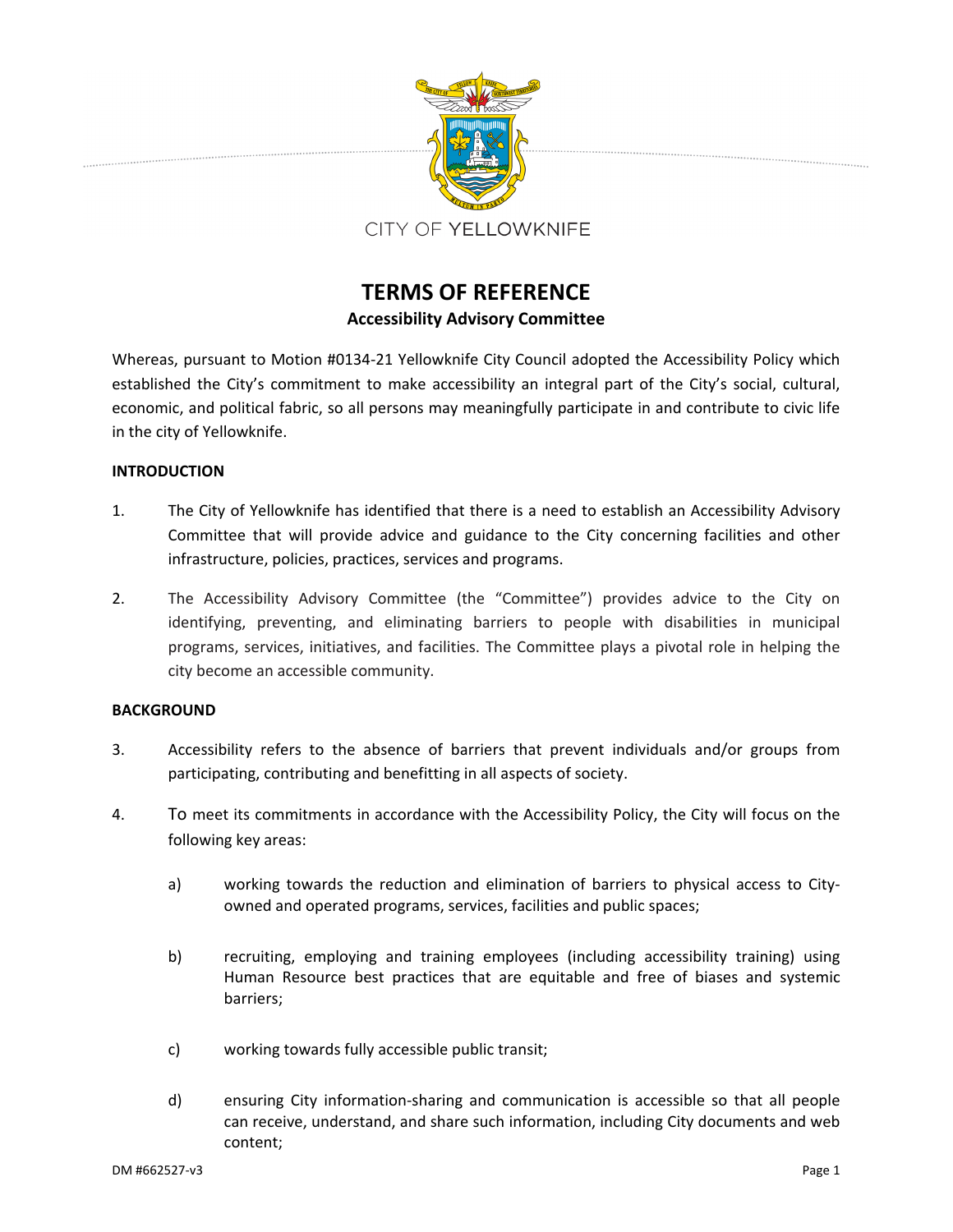

# **TERMS OF REFERENCE Accessibility Advisory Committee**

Whereas, pursuant to Motion #0134‐21 Yellowknife City Council adopted the Accessibility Policy which established the City's commitment to make accessibility an integral part of the City's social, cultural, economic, and political fabric, so all persons may meaningfully participate in and contribute to civic life in the city of Yellowknife.

# **INTRODUCTION**

- 1. The City of Yellowknife has identified that there is a need to establish an Accessibility Advisory Committee that will provide advice and guidance to the City concerning facilities and other infrastructure, policies, practices, services and programs.
- 2. The Accessibility Advisory Committee (the "Committee") provides advice to the City on identifying, preventing, and eliminating barriers to people with disabilities in municipal programs, services, initiatives, and facilities. The Committee plays a pivotal role in helping the city become an accessible community.

# **BACKGROUND**

- 3. Accessibility refers to the absence of barriers that prevent individuals and/or groups from participating, contributing and benefitting in all aspects of society.
- 4. To meet its commitments in accordance with the Accessibility Policy, the City will focus on the following key areas:
	- a) working towards the reduction and elimination of barriers to physical access to Cityowned and operated programs, services, facilities and public spaces;
	- b) recruiting, employing and training employees (including accessibility training) using Human Resource best practices that are equitable and free of biases and systemic barriers;
	- c) working towards fully accessible public transit;
	- d) ensuring City information‐sharing and communication is accessible so that all people can receive, understand, and share such information, including City documents and web content;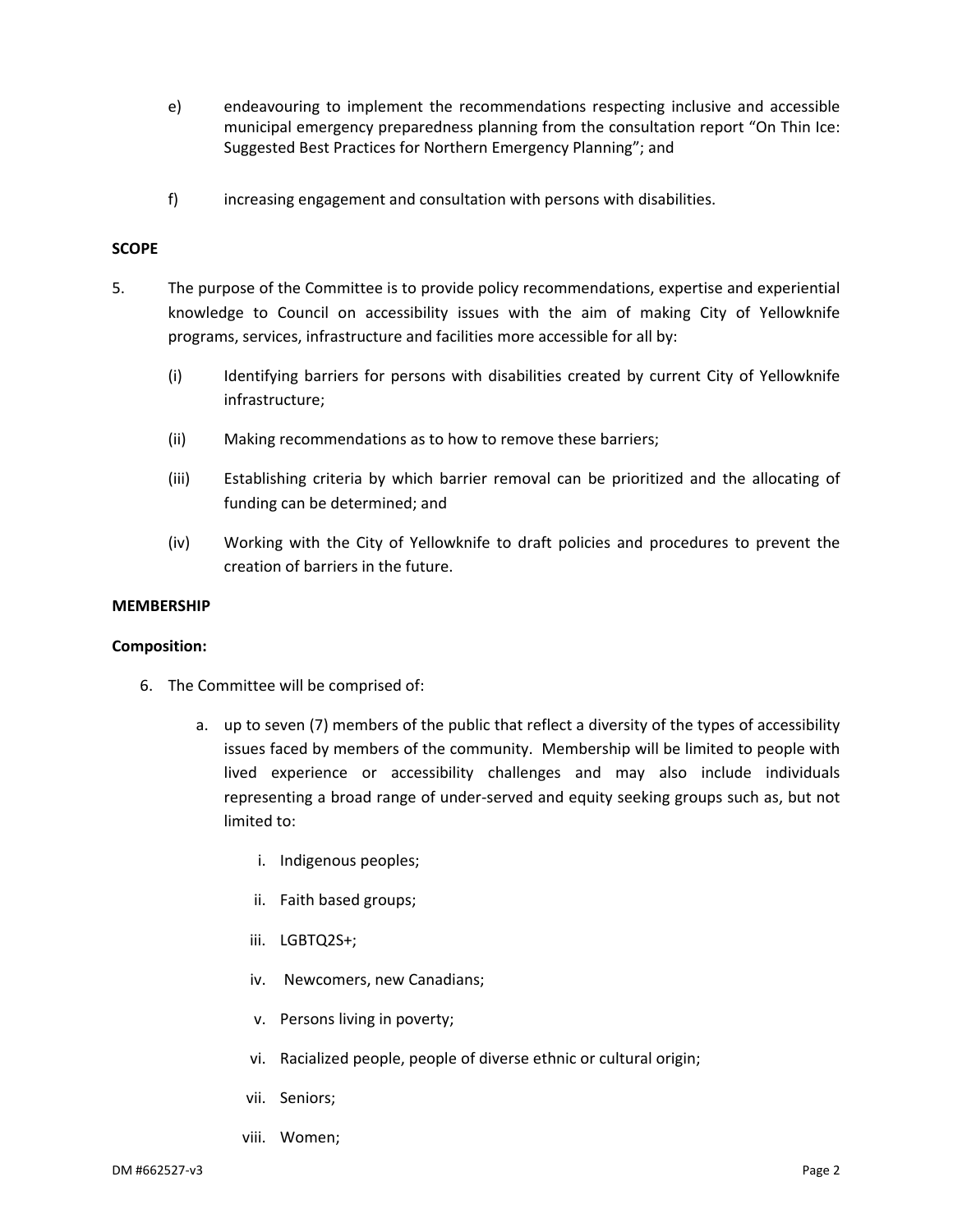- e) endeavouring to implement the recommendations respecting inclusive and accessible municipal emergency preparedness planning from the consultation report "On Thin Ice: Suggested Best Practices for Northern Emergency Planning"; and
- f) increasing engagement and consultation with persons with disabilities.

### **SCOPE**

- 5. The purpose of the Committee is to provide policy recommendations, expertise and experiential knowledge to Council on accessibility issues with the aim of making City of Yellowknife programs, services, infrastructure and facilities more accessible for all by:
	- (i) Identifying barriers for persons with disabilities created by current City of Yellowknife infrastructure;
	- (ii) Making recommendations as to how to remove these barriers;
	- (iii) Establishing criteria by which barrier removal can be prioritized and the allocating of funding can be determined; and
	- (iv) Working with the City of Yellowknife to draft policies and procedures to prevent the creation of barriers in the future.

#### **MEMBERSHIP**

#### **Composition:**

- 6. The Committee will be comprised of:
	- a. up to seven (7) members of the public that reflect a diversity of the types of accessibility issues faced by members of the community. Membership will be limited to people with lived experience or accessibility challenges and may also include individuals representing a broad range of under‐served and equity seeking groups such as, but not limited to:
		- i. Indigenous peoples;
		- ii. Faith based groups;
		- iii. LGBTQ2S+;
		- iv. Newcomers, new Canadians;
		- v. Persons living in poverty;
		- vi. Racialized people, people of diverse ethnic or cultural origin;
		- vii. Seniors;
		- viii. Women;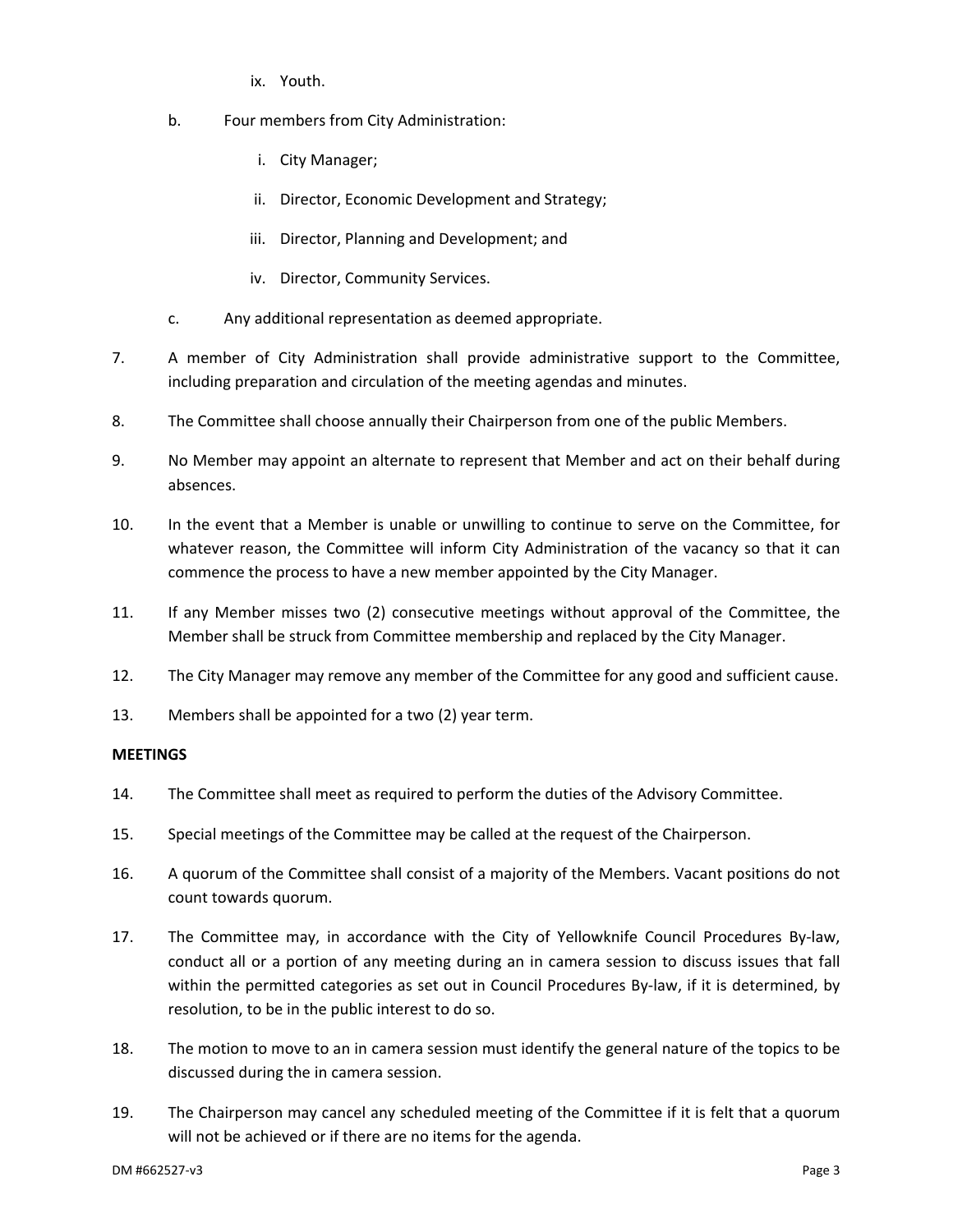- ix. Youth.
- b. Four members from City Administration:
	- i. City Manager;
	- ii. Director, Economic Development and Strategy;
	- iii. Director, Planning and Development; and
	- iv. Director, Community Services.
- c. Any additional representation as deemed appropriate.
- 7. A member of City Administration shall provide administrative support to the Committee, including preparation and circulation of the meeting agendas and minutes.
- 8. The Committee shall choose annually their Chairperson from one of the public Members.
- 9. No Member may appoint an alternate to represent that Member and act on their behalf during absences.
- 10. In the event that a Member is unable or unwilling to continue to serve on the Committee, for whatever reason, the Committee will inform City Administration of the vacancy so that it can commence the process to have a new member appointed by the City Manager.
- 11. If any Member misses two (2) consecutive meetings without approval of the Committee, the Member shall be struck from Committee membership and replaced by the City Manager.
- 12. The City Manager may remove any member of the Committee for any good and sufficient cause.
- 13. Members shall be appointed for a two (2) year term.

# **MEETINGS**

- 14. The Committee shall meet as required to perform the duties of the Advisory Committee.
- 15. Special meetings of the Committee may be called at the request of the Chairperson.
- 16. A quorum of the Committee shall consist of a majority of the Members. Vacant positions do not count towards quorum.
- 17. The Committee may, in accordance with the City of Yellowknife Council Procedures By‐law, conduct all or a portion of any meeting during an in camera session to discuss issues that fall within the permitted categories as set out in Council Procedures By-law, if it is determined, by resolution, to be in the public interest to do so.
- 18. The motion to move to an in camera session must identify the general nature of the topics to be discussed during the in camera session.
- 19. The Chairperson may cancel any scheduled meeting of the Committee if it is felt that a quorum will not be achieved or if there are no items for the agenda.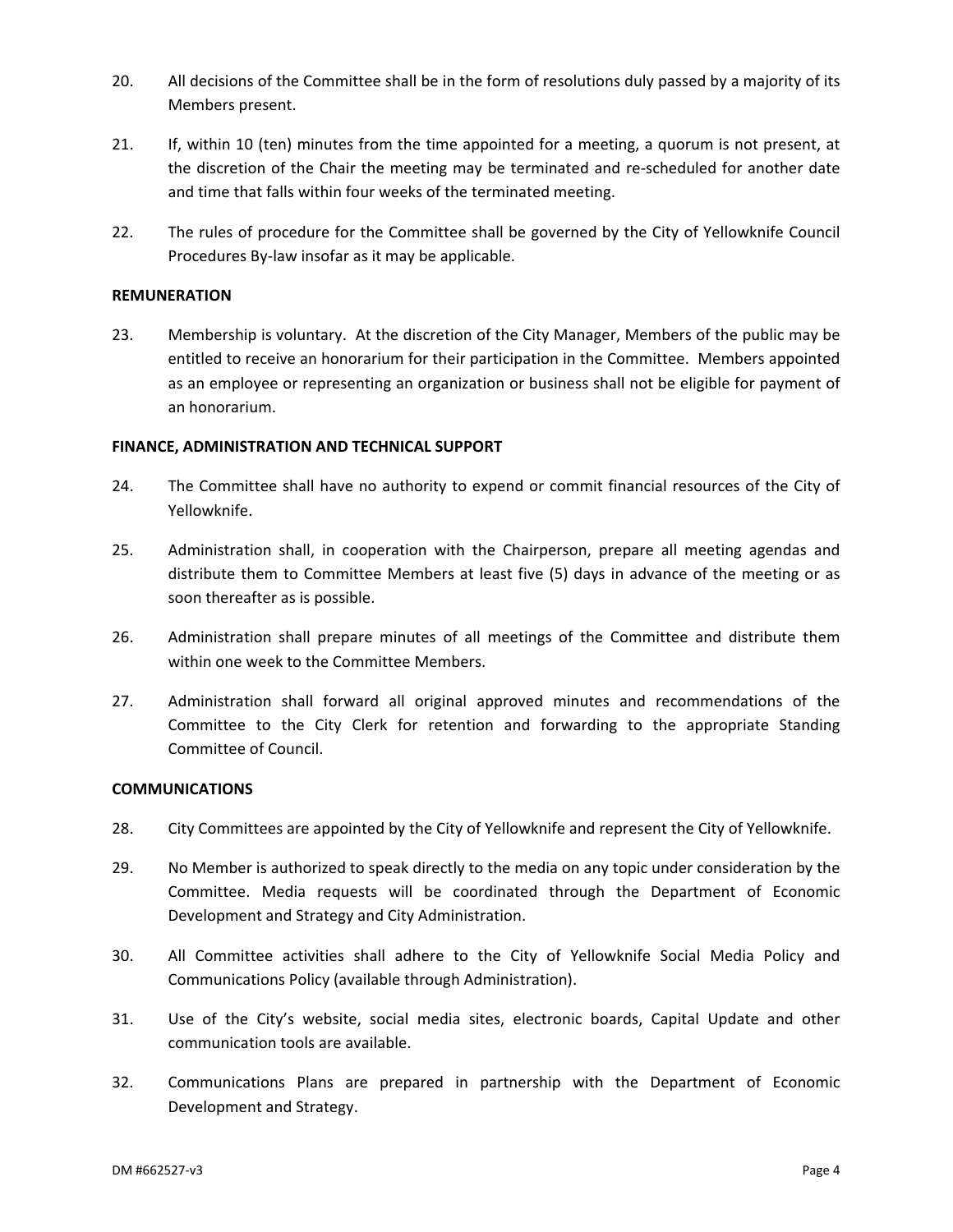- 20. All decisions of the Committee shall be in the form of resolutions duly passed by a majority of its Members present.
- 21. If, within 10 (ten) minutes from the time appointed for a meeting, a quorum is not present, at the discretion of the Chair the meeting may be terminated and re‐scheduled for another date and time that falls within four weeks of the terminated meeting.
- 22. The rules of procedure for the Committee shall be governed by the City of Yellowknife Council Procedures By‐law insofar as it may be applicable.

## **REMUNERATION**

23. Membership is voluntary. At the discretion of the City Manager, Members of the public may be entitled to receive an honorarium for their participation in the Committee. Members appointed as an employee or representing an organization or business shall not be eligible for payment of an honorarium.

#### **FINANCE, ADMINISTRATION AND TECHNICAL SUPPORT**

- 24. The Committee shall have no authority to expend or commit financial resources of the City of Yellowknife.
- 25. Administration shall, in cooperation with the Chairperson, prepare all meeting agendas and distribute them to Committee Members at least five (5) days in advance of the meeting or as soon thereafter as is possible.
- 26. Administration shall prepare minutes of all meetings of the Committee and distribute them within one week to the Committee Members.
- 27. Administration shall forward all original approved minutes and recommendations of the Committee to the City Clerk for retention and forwarding to the appropriate Standing Committee of Council.

#### **COMMUNICATIONS**

- 28. City Committees are appointed by the City of Yellowknife and represent the City of Yellowknife.
- 29. No Member is authorized to speak directly to the media on any topic under consideration by the Committee. Media requests will be coordinated through the Department of Economic Development and Strategy and City Administration.
- 30. All Committee activities shall adhere to the City of Yellowknife Social Media Policy and Communications Policy (available through Administration).
- 31. Use of the City's website, social media sites, electronic boards, Capital Update and other communication tools are available.
- 32. Communications Plans are prepared in partnership with the Department of Economic Development and Strategy.